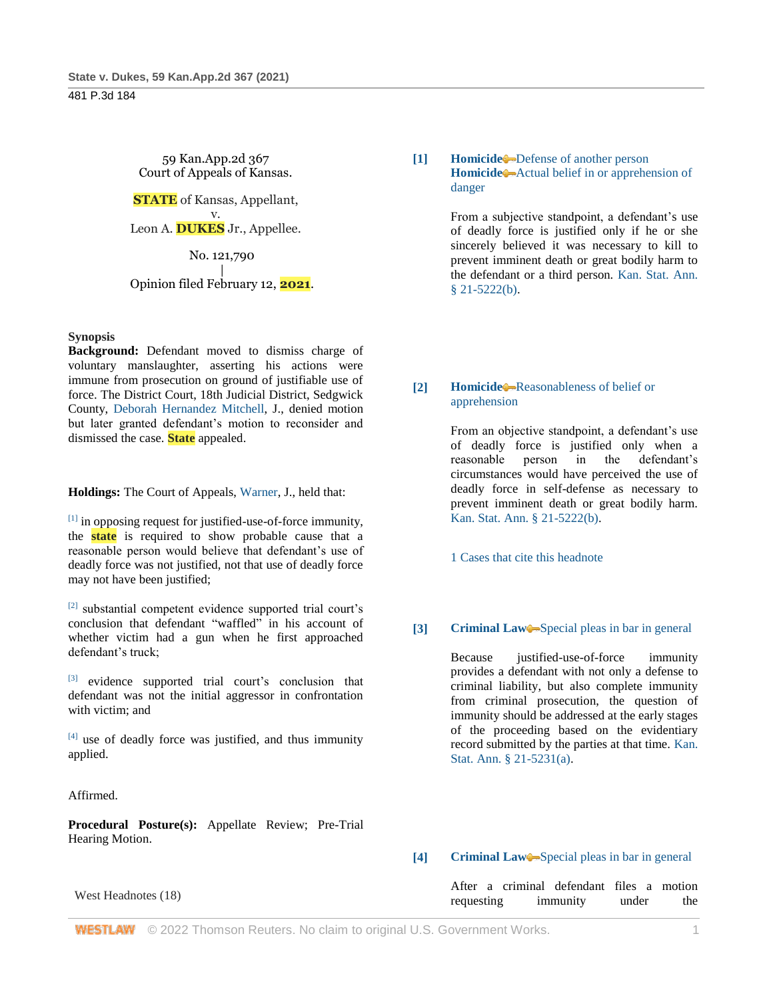59 Kan.App.2d 367 Court of Appeals of Kansas. **STATE** of Kansas, Appellant, v. Leon A. **DUKES** Jr., Appellee. No. 121,790 | Opinion filed February 12, **2021**.

## **Synopsis**

**Background:** Defendant moved to dismiss charge of voluntary manslaughter, asserting his actions were immune from prosecution on ground of justifiable use of force. The District Court, 18th Judicial District, Sedgwick County, [Deborah Hernandez Mitchell,](http://www.westlaw.com/Link/Document/FullText?findType=h&pubNum=176284&cite=0492574399&originatingDoc=Ie37bdd206d5711eb94258f3a22fa6b9e&refType=RQ&originationContext=document&vr=3.0&rs=cblt1.0&transitionType=DocumentItem&contextData=(sc.Search)) J., denied motion but later granted defendant's motion to reconsider and dismissed the case. **State** appealed.

**Holdings:** The Court of Appeals, [Warner,](http://www.westlaw.com/Link/Document/FullText?findType=h&pubNum=176284&cite=0515654801&originatingDoc=Ie37bdd206d5711eb94258f3a22fa6b9e&refType=RQ&originationContext=document&vr=3.0&rs=cblt1.0&transitionType=DocumentItem&contextData=(sc.Search)) J., held that:

[1] in opposing request for justified-use-of-force immunity, the **state** is required to show probable cause that a reasonable person would believe that defendant's use of deadly force was not justified, not that use of deadly force may not have been justified;

[2] substantial competent evidence supported trial court's conclusion that defendant "waffled" in his account of whether victim had a gun when he first approached defendant's truck;

[3] evidence supported trial court's conclusion that defendant was not the initial aggressor in confrontation with victim; and

 $[4]$  use of deadly force was justified, and thus immunity applied.

Affirmed.

**Procedural Posture(s):** Appellate Review; Pre-Trial Hearing Motion.

# West Headnotes (18)

# **[1] [Homicide](http://www.westlaw.com/Browse/Home/KeyNumber/203/View.html?docGuid=Ie37bdd206d5711eb94258f3a22fa6b9e&originationContext=document&vr=3.0&rs=cblt1.0&transitionType=DocumentItem&contextData=(sc.Search))** [Defense of another person](http://www.westlaw.com/Browse/Home/KeyNumber/203k757/View.html?docGuid=Ie37bdd206d5711eb94258f3a22fa6b9e&originationContext=document&vr=3.0&rs=cblt1.0&transitionType=DocumentItem&contextData=(sc.Search)) **[Homicide](http://www.westlaw.com/Browse/Home/KeyNumber/203/View.html?docGuid=Ie37bdd206d5711eb94258f3a22fa6b9e&originationContext=document&vr=3.0&rs=cblt1.0&transitionType=DocumentItem&contextData=(sc.Search))** [Actual belief in or apprehension of](http://www.westlaw.com/Browse/Home/KeyNumber/203k794/View.html?docGuid=Ie37bdd206d5711eb94258f3a22fa6b9e&originationContext=document&vr=3.0&rs=cblt1.0&transitionType=DocumentItem&contextData=(sc.Search))  [danger](http://www.westlaw.com/Browse/Home/KeyNumber/203k794/View.html?docGuid=Ie37bdd206d5711eb94258f3a22fa6b9e&originationContext=document&vr=3.0&rs=cblt1.0&transitionType=DocumentItem&contextData=(sc.Search))

From a subjective standpoint, a defendant's use of deadly force is justified only if he or she sincerely believed it was necessary to kill to prevent imminent death or great bodily harm to the defendant or a third person. [Kan. Stat. Ann.](http://www.westlaw.com/Link/Document/FullText?findType=L&pubNum=1001553&cite=KSSTS21-5222&originatingDoc=Ie37bdd206d5711eb94258f3a22fa6b9e&refType=SP&originationContext=document&vr=3.0&rs=cblt1.0&transitionType=DocumentItem&contextData=(sc.Search)#co_pp_a83b000018c76)   $§$  21-5222(b).

# **[2] [Homicide](http://www.westlaw.com/Browse/Home/KeyNumber/203/View.html?docGuid=Ie37bdd206d5711eb94258f3a22fa6b9e&originationContext=document&vr=3.0&rs=cblt1.0&transitionType=DocumentItem&contextData=(sc.Search))** [Reasonableness of belief or](http://www.westlaw.com/Browse/Home/KeyNumber/203k795/View.html?docGuid=Ie37bdd206d5711eb94258f3a22fa6b9e&originationContext=document&vr=3.0&rs=cblt1.0&transitionType=DocumentItem&contextData=(sc.Search))  [apprehension](http://www.westlaw.com/Browse/Home/KeyNumber/203k795/View.html?docGuid=Ie37bdd206d5711eb94258f3a22fa6b9e&originationContext=document&vr=3.0&rs=cblt1.0&transitionType=DocumentItem&contextData=(sc.Search))

From an objective standpoint, a defendant's use of deadly force is justified only when a reasonable person in the defendant's circumstances would have perceived the use of deadly force in self-defense as necessary to prevent imminent death or great bodily harm. [Kan. Stat. Ann. § 21-5222\(b\).](http://www.westlaw.com/Link/Document/FullText?findType=L&pubNum=1001553&cite=KSSTS21-5222&originatingDoc=Ie37bdd206d5711eb94258f3a22fa6b9e&refType=SP&originationContext=document&vr=3.0&rs=cblt1.0&transitionType=DocumentItem&contextData=(sc.Search)#co_pp_a83b000018c76)

[1 Cases that cite this headnote](http://www.westlaw.com/Link/RelatedInformation/DocHeadnoteLink?docGuid=Ie37bdd206d5711eb94258f3a22fa6b9e&headnoteId=205295952900220210705070746&originationContext=document&vr=3.0&rs=cblt1.0&transitionType=CitingReferences&contextData=(sc.Search))

# **[3] [Criminal Law](http://www.westlaw.com/Browse/Home/KeyNumber/110/View.html?docGuid=Ie37bdd206d5711eb94258f3a22fa6b9e&originationContext=document&vr=3.0&rs=cblt1.0&transitionType=DocumentItem&contextData=(sc.Search))** [Special pleas in bar in general](http://www.westlaw.com/Browse/Home/KeyNumber/110k286/View.html?docGuid=Ie37bdd206d5711eb94258f3a22fa6b9e&originationContext=document&vr=3.0&rs=cblt1.0&transitionType=DocumentItem&contextData=(sc.Search))

Because justified-use-of-force immunity provides a defendant with not only a defense to criminal liability, but also complete immunity from criminal prosecution, the question of immunity should be addressed at the early stages of the proceeding based on the evidentiary record submitted by the parties at that time. [Kan.](http://www.westlaw.com/Link/Document/FullText?findType=L&pubNum=1001553&cite=KSSTS21-5231&originatingDoc=Ie37bdd206d5711eb94258f3a22fa6b9e&refType=SP&originationContext=document&vr=3.0&rs=cblt1.0&transitionType=DocumentItem&contextData=(sc.Search)#co_pp_8b3b0000958a4)  [Stat. Ann. § 21-5231\(a\).](http://www.westlaw.com/Link/Document/FullText?findType=L&pubNum=1001553&cite=KSSTS21-5231&originatingDoc=Ie37bdd206d5711eb94258f3a22fa6b9e&refType=SP&originationContext=document&vr=3.0&rs=cblt1.0&transitionType=DocumentItem&contextData=(sc.Search)#co_pp_8b3b0000958a4)

# **[4] [Criminal Law](http://www.westlaw.com/Browse/Home/KeyNumber/110/View.html?docGuid=Ie37bdd206d5711eb94258f3a22fa6b9e&originationContext=document&vr=3.0&rs=cblt1.0&transitionType=DocumentItem&contextData=(sc.Search))** [Special pleas in bar in general](http://www.westlaw.com/Browse/Home/KeyNumber/110k286/View.html?docGuid=Ie37bdd206d5711eb94258f3a22fa6b9e&originationContext=document&vr=3.0&rs=cblt1.0&transitionType=DocumentItem&contextData=(sc.Search))

After a criminal defendant files a motion requesting immunity under the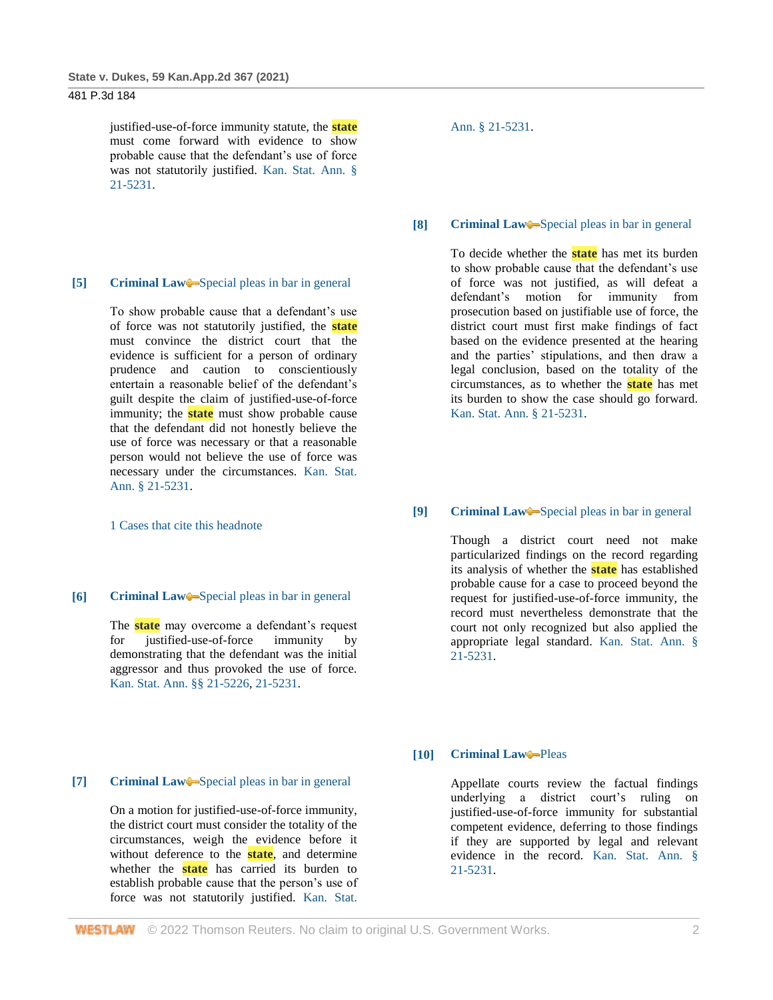justified-use-of-force immunity statute, the **state** must come forward with evidence to show probable cause that the defendant's use of force was not statutorily justified. [Kan. Stat. Ann. §](http://www.westlaw.com/Link/Document/FullText?findType=L&pubNum=1001553&cite=KSSTS21-5231&originatingDoc=Ie37bdd206d5711eb94258f3a22fa6b9e&refType=LQ&originationContext=document&vr=3.0&rs=cblt1.0&transitionType=DocumentItem&contextData=(sc.Search))  [21-5231.](http://www.westlaw.com/Link/Document/FullText?findType=L&pubNum=1001553&cite=KSSTS21-5231&originatingDoc=Ie37bdd206d5711eb94258f3a22fa6b9e&refType=LQ&originationContext=document&vr=3.0&rs=cblt1.0&transitionType=DocumentItem&contextData=(sc.Search))

#### **[5] [Criminal Law](http://www.westlaw.com/Browse/Home/KeyNumber/110/View.html?docGuid=Ie37bdd206d5711eb94258f3a22fa6b9e&originationContext=document&vr=3.0&rs=cblt1.0&transitionType=DocumentItem&contextData=(sc.Search))** [Special pleas in bar in general](http://www.westlaw.com/Browse/Home/KeyNumber/110k286/View.html?docGuid=Ie37bdd206d5711eb94258f3a22fa6b9e&originationContext=document&vr=3.0&rs=cblt1.0&transitionType=DocumentItem&contextData=(sc.Search))

To show probable cause that a defendant's use of force was not statutorily justified, the **state** must convince the district court that the evidence is sufficient for a person of ordinary prudence and caution to conscientiously entertain a reasonable belief of the defendant's guilt despite the claim of justified-use-of-force immunity; the **state** must show probable cause that the defendant did not honestly believe the use of force was necessary or that a reasonable person would not believe the use of force was necessary under the circumstances. [Kan. Stat.](http://www.westlaw.com/Link/Document/FullText?findType=L&pubNum=1001553&cite=KSSTS21-5231&originatingDoc=Ie37bdd206d5711eb94258f3a22fa6b9e&refType=LQ&originationContext=document&vr=3.0&rs=cblt1.0&transitionType=DocumentItem&contextData=(sc.Search))  [Ann. § 21-5231.](http://www.westlaw.com/Link/Document/FullText?findType=L&pubNum=1001553&cite=KSSTS21-5231&originatingDoc=Ie37bdd206d5711eb94258f3a22fa6b9e&refType=LQ&originationContext=document&vr=3.0&rs=cblt1.0&transitionType=DocumentItem&contextData=(sc.Search))

[1 Cases that cite this headnote](http://www.westlaw.com/Link/RelatedInformation/DocHeadnoteLink?docGuid=Ie37bdd206d5711eb94258f3a22fa6b9e&headnoteId=205295952900520210705070746&originationContext=document&vr=3.0&rs=cblt1.0&transitionType=CitingReferences&contextData=(sc.Search))

#### **[6] [Criminal Law](http://www.westlaw.com/Browse/Home/KeyNumber/110/View.html?docGuid=Ie37bdd206d5711eb94258f3a22fa6b9e&originationContext=document&vr=3.0&rs=cblt1.0&transitionType=DocumentItem&contextData=(sc.Search))** [Special pleas in bar in general](http://www.westlaw.com/Browse/Home/KeyNumber/110k286/View.html?docGuid=Ie37bdd206d5711eb94258f3a22fa6b9e&originationContext=document&vr=3.0&rs=cblt1.0&transitionType=DocumentItem&contextData=(sc.Search))

The **state** may overcome a defendant's request for justified-use-of-force immunity by demonstrating that the defendant was the initial aggressor and thus provoked the use of force. [Kan. Stat. Ann. §§ 21-5226,](http://www.westlaw.com/Link/Document/FullText?findType=L&pubNum=1001553&cite=KSSTS21-5226&originatingDoc=Ie37bdd206d5711eb94258f3a22fa6b9e&refType=LQ&originationContext=document&vr=3.0&rs=cblt1.0&transitionType=DocumentItem&contextData=(sc.Search)) [21-5231.](http://www.westlaw.com/Link/Document/FullText?findType=L&pubNum=1001553&cite=KSSTS21-5231&originatingDoc=Ie37bdd206d5711eb94258f3a22fa6b9e&refType=LQ&originationContext=document&vr=3.0&rs=cblt1.0&transitionType=DocumentItem&contextData=(sc.Search))

### **[7] [Criminal Law](http://www.westlaw.com/Browse/Home/KeyNumber/110/View.html?docGuid=Ie37bdd206d5711eb94258f3a22fa6b9e&originationContext=document&vr=3.0&rs=cblt1.0&transitionType=DocumentItem&contextData=(sc.Search))** [Special pleas in bar in general](http://www.westlaw.com/Browse/Home/KeyNumber/110k286/View.html?docGuid=Ie37bdd206d5711eb94258f3a22fa6b9e&originationContext=document&vr=3.0&rs=cblt1.0&transitionType=DocumentItem&contextData=(sc.Search))

On a motion for justified-use-of-force immunity, the district court must consider the totality of the circumstances, weigh the evidence before it without deference to the **state**, and determine whether the **state** has carried its burden to establish probable cause that the person's use of force was not statutorily justified. [Kan. Stat.](http://www.westlaw.com/Link/Document/FullText?findType=L&pubNum=1001553&cite=KSSTS21-5231&originatingDoc=Ie37bdd206d5711eb94258f3a22fa6b9e&refType=LQ&originationContext=document&vr=3.0&rs=cblt1.0&transitionType=DocumentItem&contextData=(sc.Search))  [Ann. § 21-5231.](http://www.westlaw.com/Link/Document/FullText?findType=L&pubNum=1001553&cite=KSSTS21-5231&originatingDoc=Ie37bdd206d5711eb94258f3a22fa6b9e&refType=LQ&originationContext=document&vr=3.0&rs=cblt1.0&transitionType=DocumentItem&contextData=(sc.Search))

#### **[8] [Criminal Law](http://www.westlaw.com/Browse/Home/KeyNumber/110/View.html?docGuid=Ie37bdd206d5711eb94258f3a22fa6b9e&originationContext=document&vr=3.0&rs=cblt1.0&transitionType=DocumentItem&contextData=(sc.Search))** [Special pleas in bar in general](http://www.westlaw.com/Browse/Home/KeyNumber/110k286/View.html?docGuid=Ie37bdd206d5711eb94258f3a22fa6b9e&originationContext=document&vr=3.0&rs=cblt1.0&transitionType=DocumentItem&contextData=(sc.Search))

To decide whether the **state** has met its burden to show probable cause that the defendant's use of force was not justified, as will defeat a defendant's motion for immunity from prosecution based on justifiable use of force, the district court must first make findings of fact based on the evidence presented at the hearing and the parties' stipulations, and then draw a legal conclusion, based on the totality of the circumstances, as to whether the **state** has met its burden to show the case should go forward. [Kan. Stat. Ann. § 21-5231.](http://www.westlaw.com/Link/Document/FullText?findType=L&pubNum=1001553&cite=KSSTS21-5231&originatingDoc=Ie37bdd206d5711eb94258f3a22fa6b9e&refType=LQ&originationContext=document&vr=3.0&rs=cblt1.0&transitionType=DocumentItem&contextData=(sc.Search))

#### **[9] [Criminal Law](http://www.westlaw.com/Browse/Home/KeyNumber/110/View.html?docGuid=Ie37bdd206d5711eb94258f3a22fa6b9e&originationContext=document&vr=3.0&rs=cblt1.0&transitionType=DocumentItem&contextData=(sc.Search))** [Special pleas in bar in general](http://www.westlaw.com/Browse/Home/KeyNumber/110k286/View.html?docGuid=Ie37bdd206d5711eb94258f3a22fa6b9e&originationContext=document&vr=3.0&rs=cblt1.0&transitionType=DocumentItem&contextData=(sc.Search))

Though a district court need not make particularized findings on the record regarding its analysis of whether the **state** has established probable cause for a case to proceed beyond the request for justified-use-of-force immunity, the record must nevertheless demonstrate that the court not only recognized but also applied the appropriate legal standard. [Kan. Stat. Ann. §](http://www.westlaw.com/Link/Document/FullText?findType=L&pubNum=1001553&cite=KSSTS21-5231&originatingDoc=Ie37bdd206d5711eb94258f3a22fa6b9e&refType=LQ&originationContext=document&vr=3.0&rs=cblt1.0&transitionType=DocumentItem&contextData=(sc.Search))  [21-5231.](http://www.westlaw.com/Link/Document/FullText?findType=L&pubNum=1001553&cite=KSSTS21-5231&originatingDoc=Ie37bdd206d5711eb94258f3a22fa6b9e&refType=LQ&originationContext=document&vr=3.0&rs=cblt1.0&transitionType=DocumentItem&contextData=(sc.Search))

## **[10] [Criminal Law](http://www.westlaw.com/Browse/Home/KeyNumber/110/View.html?docGuid=Ie37bdd206d5711eb94258f3a22fa6b9e&originationContext=document&vr=3.0&rs=cblt1.0&transitionType=DocumentItem&contextData=(sc.Search))** [Pleas](http://www.westlaw.com/Browse/Home/KeyNumber/110k1158.7/View.html?docGuid=Ie37bdd206d5711eb94258f3a22fa6b9e&originationContext=document&vr=3.0&rs=cblt1.0&transitionType=DocumentItem&contextData=(sc.Search))

Appellate courts review the factual findings underlying a district court's ruling on justified-use-of-force immunity for substantial competent evidence, deferring to those findings if they are supported by legal and relevant evidence in the record. [Kan. Stat. Ann. §](http://www.westlaw.com/Link/Document/FullText?findType=L&pubNum=1001553&cite=KSSTS21-5231&originatingDoc=Ie37bdd206d5711eb94258f3a22fa6b9e&refType=LQ&originationContext=document&vr=3.0&rs=cblt1.0&transitionType=DocumentItem&contextData=(sc.Search))  [21-5231.](http://www.westlaw.com/Link/Document/FullText?findType=L&pubNum=1001553&cite=KSSTS21-5231&originatingDoc=Ie37bdd206d5711eb94258f3a22fa6b9e&refType=LQ&originationContext=document&vr=3.0&rs=cblt1.0&transitionType=DocumentItem&contextData=(sc.Search))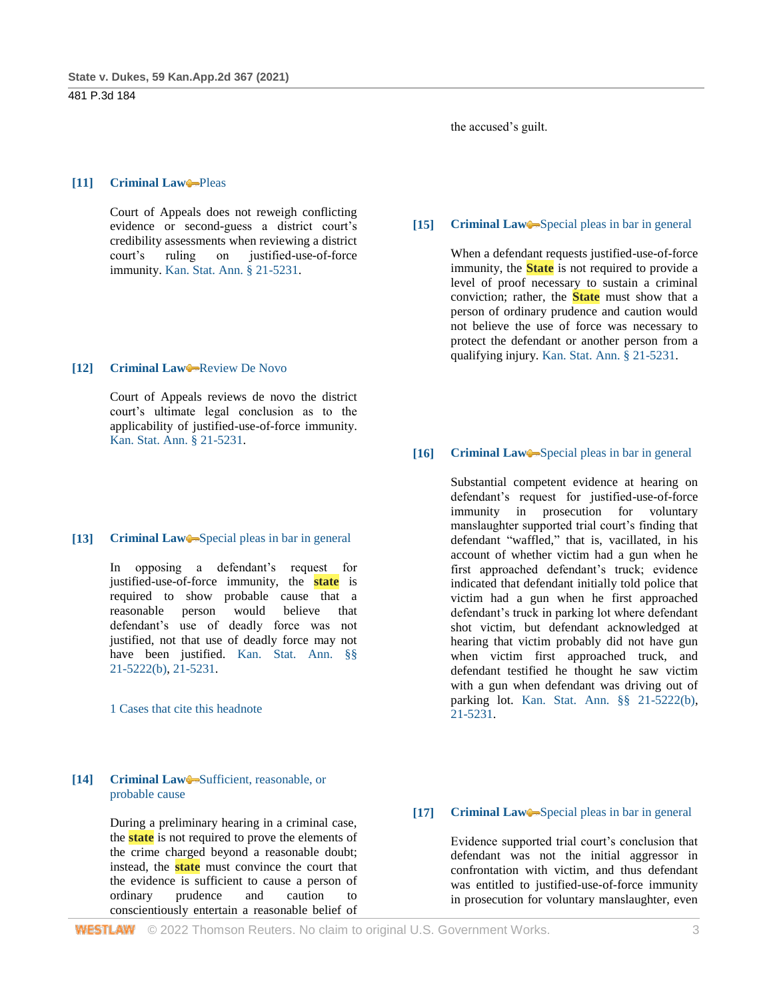### the accused's guilt.

## **[11] [Criminal Law](http://www.westlaw.com/Browse/Home/KeyNumber/110/View.html?docGuid=Ie37bdd206d5711eb94258f3a22fa6b9e&originationContext=document&vr=3.0&rs=cblt1.0&transitionType=DocumentItem&contextData=(sc.Search))** [Pleas](http://www.westlaw.com/Browse/Home/KeyNumber/110k1158.7/View.html?docGuid=Ie37bdd206d5711eb94258f3a22fa6b9e&originationContext=document&vr=3.0&rs=cblt1.0&transitionType=DocumentItem&contextData=(sc.Search))

Court of Appeals does not reweigh conflicting evidence or second-guess a district court's credibility assessments when reviewing a district court's ruling on justified-use-of-force immunity. [Kan. Stat. Ann. § 21-5231.](http://www.westlaw.com/Link/Document/FullText?findType=L&pubNum=1001553&cite=KSSTS21-5231&originatingDoc=Ie37bdd206d5711eb94258f3a22fa6b9e&refType=LQ&originationContext=document&vr=3.0&rs=cblt1.0&transitionType=DocumentItem&contextData=(sc.Search))

## **[12] [Criminal Law](http://www.westlaw.com/Browse/Home/KeyNumber/110/View.html?docGuid=Ie37bdd206d5711eb94258f3a22fa6b9e&originationContext=document&vr=3.0&rs=cblt1.0&transitionType=DocumentItem&contextData=(sc.Search))** [Review De Novo](http://www.westlaw.com/Browse/Home/KeyNumber/110XXIV(L)13/View.html?docGuid=Ie37bdd206d5711eb94258f3a22fa6b9e&originationContext=document&vr=3.0&rs=cblt1.0&transitionType=DocumentItem&contextData=(sc.Search))

Court of Appeals reviews de novo the district court's ultimate legal conclusion as to the applicability of justified-use-of-force immunity. [Kan. Stat. Ann. § 21-5231.](http://www.westlaw.com/Link/Document/FullText?findType=L&pubNum=1001553&cite=KSSTS21-5231&originatingDoc=Ie37bdd206d5711eb94258f3a22fa6b9e&refType=LQ&originationContext=document&vr=3.0&rs=cblt1.0&transitionType=DocumentItem&contextData=(sc.Search))

#### [13] **[Criminal Law](http://www.westlaw.com/Browse/Home/KeyNumber/110/View.html?docGuid=Ie37bdd206d5711eb94258f3a22fa6b9e&originationContext=document&vr=3.0&rs=cblt1.0&transitionType=DocumentItem&contextData=(sc.Search))** [Special pleas in bar in general](http://www.westlaw.com/Browse/Home/KeyNumber/110k286/View.html?docGuid=Ie37bdd206d5711eb94258f3a22fa6b9e&originationContext=document&vr=3.0&rs=cblt1.0&transitionType=DocumentItem&contextData=(sc.Search))

In opposing a defendant's request for justified-use-of-force immunity, the **state** is required to show probable cause that a reasonable person would believe that defendant's use of deadly force was not justified, not that use of deadly force may not have been justified. Kan. Stat. Ann. §§ [21-5222\(b\),](http://www.westlaw.com/Link/Document/FullText?findType=L&pubNum=1001553&cite=KSSTS21-5222&originatingDoc=Ie37bdd206d5711eb94258f3a22fa6b9e&refType=SP&originationContext=document&vr=3.0&rs=cblt1.0&transitionType=DocumentItem&contextData=(sc.Search)#co_pp_a83b000018c76) [21-5231.](http://www.westlaw.com/Link/Document/FullText?findType=L&pubNum=1001553&cite=KSSTS21-5231&originatingDoc=Ie37bdd206d5711eb94258f3a22fa6b9e&refType=LQ&originationContext=document&vr=3.0&rs=cblt1.0&transitionType=DocumentItem&contextData=(sc.Search))

[1 Cases that cite this headnote](http://www.westlaw.com/Link/RelatedInformation/DocHeadnoteLink?docGuid=Ie37bdd206d5711eb94258f3a22fa6b9e&headnoteId=205295952901320210705070746&originationContext=document&vr=3.0&rs=cblt1.0&transitionType=CitingReferences&contextData=(sc.Search))

## **[14] [Criminal Law](http://www.westlaw.com/Browse/Home/KeyNumber/110/View.html?docGuid=Ie37bdd206d5711eb94258f3a22fa6b9e&originationContext=document&vr=3.0&rs=cblt1.0&transitionType=DocumentItem&contextData=(sc.Search))** Sufficient, reasonable, or [probable cause](http://www.westlaw.com/Browse/Home/KeyNumber/110k238(2)/View.html?docGuid=Ie37bdd206d5711eb94258f3a22fa6b9e&originationContext=document&vr=3.0&rs=cblt1.0&transitionType=DocumentItem&contextData=(sc.Search))

During a preliminary hearing in a criminal case, the **state** is not required to prove the elements of the crime charged beyond a reasonable doubt; instead, the **state** must convince the court that the evidence is sufficient to cause a person of ordinary prudence and caution to conscientiously entertain a reasonable belief of

## **[15] [Criminal Law](http://www.westlaw.com/Browse/Home/KeyNumber/110/View.html?docGuid=Ie37bdd206d5711eb94258f3a22fa6b9e&originationContext=document&vr=3.0&rs=cblt1.0&transitionType=DocumentItem&contextData=(sc.Search))** [Special pleas in bar in general](http://www.westlaw.com/Browse/Home/KeyNumber/110k286/View.html?docGuid=Ie37bdd206d5711eb94258f3a22fa6b9e&originationContext=document&vr=3.0&rs=cblt1.0&transitionType=DocumentItem&contextData=(sc.Search))

When a defendant requests justified-use-of-force immunity, the **State** is not required to provide a level of proof necessary to sustain a criminal conviction; rather, the **State** must show that a person of ordinary prudence and caution would not believe the use of force was necessary to protect the defendant or another person from a qualifying injury. [Kan. Stat. Ann. § 21-5231.](http://www.westlaw.com/Link/Document/FullText?findType=L&pubNum=1001553&cite=KSSTS21-5231&originatingDoc=Ie37bdd206d5711eb94258f3a22fa6b9e&refType=LQ&originationContext=document&vr=3.0&rs=cblt1.0&transitionType=DocumentItem&contextData=(sc.Search))

#### **[16] [Criminal Law](http://www.westlaw.com/Browse/Home/KeyNumber/110/View.html?docGuid=Ie37bdd206d5711eb94258f3a22fa6b9e&originationContext=document&vr=3.0&rs=cblt1.0&transitionType=DocumentItem&contextData=(sc.Search))** [Special pleas in bar in general](http://www.westlaw.com/Browse/Home/KeyNumber/110k286/View.html?docGuid=Ie37bdd206d5711eb94258f3a22fa6b9e&originationContext=document&vr=3.0&rs=cblt1.0&transitionType=DocumentItem&contextData=(sc.Search))

Substantial competent evidence at hearing on defendant's request for justified-use-of-force immunity in prosecution for voluntary manslaughter supported trial court's finding that defendant "waffled," that is, vacillated, in his account of whether victim had a gun when he first approached defendant's truck; evidence indicated that defendant initially told police that victim had a gun when he first approached defendant's truck in parking lot where defendant shot victim, but defendant acknowledged at hearing that victim probably did not have gun when victim first approached truck, and defendant testified he thought he saw victim with a gun when defendant was driving out of parking lot. [Kan. Stat. Ann. §§ 21-5222\(b\),](http://www.westlaw.com/Link/Document/FullText?findType=L&pubNum=1001553&cite=KSSTS21-5222&originatingDoc=Ie37bdd206d5711eb94258f3a22fa6b9e&refType=SP&originationContext=document&vr=3.0&rs=cblt1.0&transitionType=DocumentItem&contextData=(sc.Search)#co_pp_a83b000018c76) [21-5231.](http://www.westlaw.com/Link/Document/FullText?findType=L&pubNum=1001553&cite=KSSTS21-5231&originatingDoc=Ie37bdd206d5711eb94258f3a22fa6b9e&refType=LQ&originationContext=document&vr=3.0&rs=cblt1.0&transitionType=DocumentItem&contextData=(sc.Search))

#### [17] **[Criminal Law](http://www.westlaw.com/Browse/Home/KeyNumber/110/View.html?docGuid=Ie37bdd206d5711eb94258f3a22fa6b9e&originationContext=document&vr=3.0&rs=cblt1.0&transitionType=DocumentItem&contextData=(sc.Search))** [Special pleas in bar in general](http://www.westlaw.com/Browse/Home/KeyNumber/110k286/View.html?docGuid=Ie37bdd206d5711eb94258f3a22fa6b9e&originationContext=document&vr=3.0&rs=cblt1.0&transitionType=DocumentItem&contextData=(sc.Search))

Evidence supported trial court's conclusion that defendant was not the initial aggressor in confrontation with victim, and thus defendant was entitled to justified-use-of-force immunity in prosecution for voluntary manslaughter, even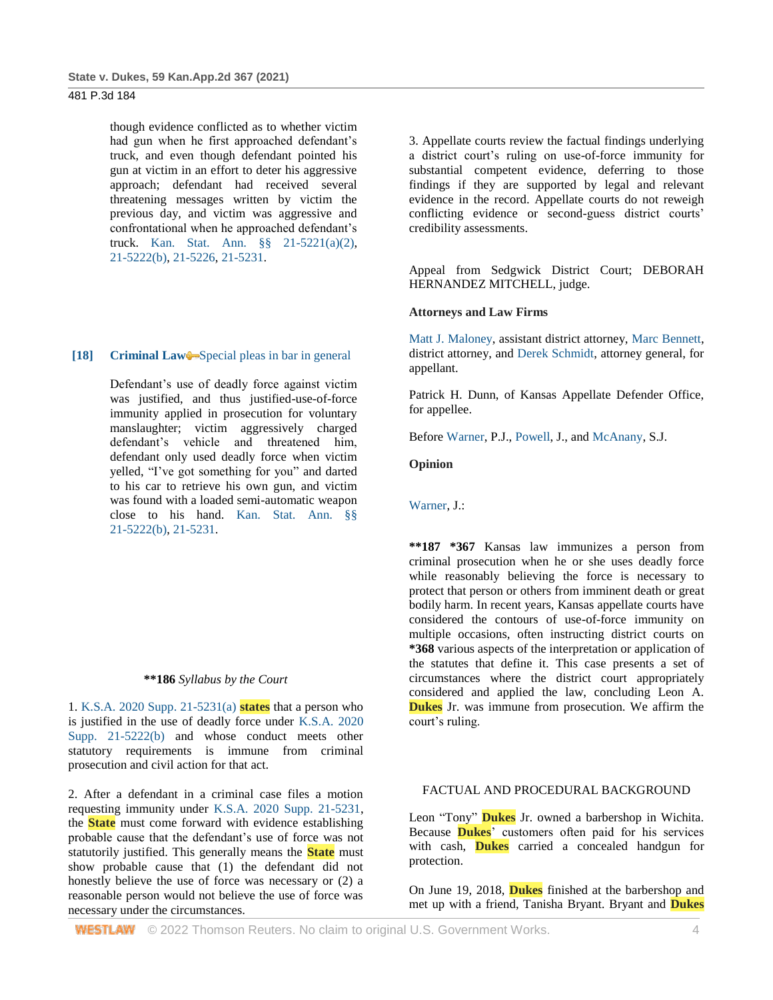though evidence conflicted as to whether victim had gun when he first approached defendant's truck, and even though defendant pointed his gun at victim in an effort to deter his aggressive approach; defendant had received several threatening messages written by victim the previous day, and victim was aggressive and confrontational when he approached defendant's truck. [Kan. Stat. Ann. §§ 21-5221\(a\)\(2\),](http://www.westlaw.com/Link/Document/FullText?findType=L&pubNum=1001553&cite=KSSTS21-5221&originatingDoc=Ie37bdd206d5711eb94258f3a22fa6b9e&refType=SP&originationContext=document&vr=3.0&rs=cblt1.0&transitionType=DocumentItem&contextData=(sc.Search)#co_pp_d86d0000be040) [21-5222\(b\),](http://www.westlaw.com/Link/Document/FullText?findType=L&pubNum=1001553&cite=KSSTS21-5222&originatingDoc=Ie37bdd206d5711eb94258f3a22fa6b9e&refType=SP&originationContext=document&vr=3.0&rs=cblt1.0&transitionType=DocumentItem&contextData=(sc.Search)#co_pp_a83b000018c76) [21-5226,](http://www.westlaw.com/Link/Document/FullText?findType=L&pubNum=1001553&cite=KSSTS21-5226&originatingDoc=Ie37bdd206d5711eb94258f3a22fa6b9e&refType=LQ&originationContext=document&vr=3.0&rs=cblt1.0&transitionType=DocumentItem&contextData=(sc.Search)) [21-5231.](http://www.westlaw.com/Link/Document/FullText?findType=L&pubNum=1001553&cite=KSSTS21-5231&originatingDoc=Ie37bdd206d5711eb94258f3a22fa6b9e&refType=LQ&originationContext=document&vr=3.0&rs=cblt1.0&transitionType=DocumentItem&contextData=(sc.Search))

### **[18] [Criminal Law](http://www.westlaw.com/Browse/Home/KeyNumber/110/View.html?docGuid=Ie37bdd206d5711eb94258f3a22fa6b9e&originationContext=document&vr=3.0&rs=cblt1.0&transitionType=DocumentItem&contextData=(sc.Search))** [Special pleas in bar in general](http://www.westlaw.com/Browse/Home/KeyNumber/110k286/View.html?docGuid=Ie37bdd206d5711eb94258f3a22fa6b9e&originationContext=document&vr=3.0&rs=cblt1.0&transitionType=DocumentItem&contextData=(sc.Search))

Defendant's use of deadly force against victim was justified, and thus justified-use-of-force immunity applied in prosecution for voluntary manslaughter; victim aggressively charged defendant's vehicle and threatened him, defendant only used deadly force when victim yelled, "I've got something for you" and darted to his car to retrieve his own gun, and victim was found with a loaded semi-automatic weapon close to his hand. [Kan. Stat. Ann. §§](http://www.westlaw.com/Link/Document/FullText?findType=L&pubNum=1001553&cite=KSSTS21-5222&originatingDoc=Ie37bdd206d5711eb94258f3a22fa6b9e&refType=SP&originationContext=document&vr=3.0&rs=cblt1.0&transitionType=DocumentItem&contextData=(sc.Search)#co_pp_a83b000018c76)  [21-5222\(b\),](http://www.westlaw.com/Link/Document/FullText?findType=L&pubNum=1001553&cite=KSSTS21-5222&originatingDoc=Ie37bdd206d5711eb94258f3a22fa6b9e&refType=SP&originationContext=document&vr=3.0&rs=cblt1.0&transitionType=DocumentItem&contextData=(sc.Search)#co_pp_a83b000018c76) [21-5231.](http://www.westlaw.com/Link/Document/FullText?findType=L&pubNum=1001553&cite=KSSTS21-5231&originatingDoc=Ie37bdd206d5711eb94258f3a22fa6b9e&refType=LQ&originationContext=document&vr=3.0&rs=cblt1.0&transitionType=DocumentItem&contextData=(sc.Search))

#### **\*\*186** *Syllabus by the Court*

1. [K.S.A. 2020 Supp. 21-5231\(a\)](http://www.westlaw.com/Link/Document/FullText?findType=L&pubNum=1001553&cite=KSSTS21-5231&originatingDoc=Ie37bdd206d5711eb94258f3a22fa6b9e&refType=SP&originationContext=document&vr=3.0&rs=cblt1.0&transitionType=DocumentItem&contextData=(sc.Search)#co_pp_8b3b0000958a4) **states** that a person who is justified in the use of deadly force under [K.S.A. 2020](http://www.westlaw.com/Link/Document/FullText?findType=L&pubNum=1001553&cite=KSSTS21-5222&originatingDoc=Ie37bdd206d5711eb94258f3a22fa6b9e&refType=SP&originationContext=document&vr=3.0&rs=cblt1.0&transitionType=DocumentItem&contextData=(sc.Search)#co_pp_a83b000018c76)  [Supp. 21-5222\(b\)](http://www.westlaw.com/Link/Document/FullText?findType=L&pubNum=1001553&cite=KSSTS21-5222&originatingDoc=Ie37bdd206d5711eb94258f3a22fa6b9e&refType=SP&originationContext=document&vr=3.0&rs=cblt1.0&transitionType=DocumentItem&contextData=(sc.Search)#co_pp_a83b000018c76) and whose conduct meets other statutory requirements is immune from criminal prosecution and civil action for that act.

2. After a defendant in a criminal case files a motion requesting immunity under [K.S.A. 2020 Supp. 21-5231,](http://www.westlaw.com/Link/Document/FullText?findType=L&pubNum=1001553&cite=KSSTS21-5231&originatingDoc=Ie37bdd206d5711eb94258f3a22fa6b9e&refType=LQ&originationContext=document&vr=3.0&rs=cblt1.0&transitionType=DocumentItem&contextData=(sc.Search)) the **State** must come forward with evidence establishing probable cause that the defendant's use of force was not statutorily justified. This generally means the **State** must show probable cause that (1) the defendant did not honestly believe the use of force was necessary or (2) a reasonable person would not believe the use of force was necessary under the circumstances.

3. Appellate courts review the factual findings underlying a district court's ruling on use-of-force immunity for substantial competent evidence, deferring to those findings if they are supported by legal and relevant evidence in the record. Appellate courts do not reweigh conflicting evidence or second-guess district courts' credibility assessments.

Appeal from Sedgwick District Court; DEBORAH HERNANDEZ MITCHELL, judge.

#### **Attorneys and Law Firms**

[Matt J. Maloney,](http://www.westlaw.com/Link/Document/FullText?findType=h&pubNum=176284&cite=0307981901&originatingDoc=Ie37bdd206d5711eb94258f3a22fa6b9e&refType=RQ&originationContext=document&vr=3.0&rs=cblt1.0&transitionType=DocumentItem&contextData=(sc.Search)) assistant district attorney, [Marc Bennett,](http://www.westlaw.com/Link/Document/FullText?findType=h&pubNum=176284&cite=0110913601&originatingDoc=Ie37bdd206d5711eb94258f3a22fa6b9e&refType=RQ&originationContext=document&vr=3.0&rs=cblt1.0&transitionType=DocumentItem&contextData=(sc.Search)) district attorney, and [Derek Schmidt,](http://www.westlaw.com/Link/Document/FullText?findType=h&pubNum=176284&cite=0456354901&originatingDoc=Ie37bdd206d5711eb94258f3a22fa6b9e&refType=RQ&originationContext=document&vr=3.0&rs=cblt1.0&transitionType=DocumentItem&contextData=(sc.Search)) attorney general, for appellant.

Patrick H. Dunn, of Kansas Appellate Defender Office, for appellee.

Befor[e Warner,](http://www.westlaw.com/Link/Document/FullText?findType=h&pubNum=176284&cite=0515654801&originatingDoc=Ie37bdd206d5711eb94258f3a22fa6b9e&refType=RQ&originationContext=document&vr=3.0&rs=cblt1.0&transitionType=DocumentItem&contextData=(sc.Search)) P.J., [Powell,](http://www.westlaw.com/Link/Document/FullText?findType=h&pubNum=176284&cite=0254694401&originatingDoc=Ie37bdd206d5711eb94258f3a22fa6b9e&refType=RQ&originationContext=document&vr=3.0&rs=cblt1.0&transitionType=DocumentItem&contextData=(sc.Search)) J., and [McAnany,](http://www.westlaw.com/Link/Document/FullText?findType=h&pubNum=176284&cite=0316835001&originatingDoc=Ie37bdd206d5711eb94258f3a22fa6b9e&refType=RQ&originationContext=document&vr=3.0&rs=cblt1.0&transitionType=DocumentItem&contextData=(sc.Search)) S.J.

## **Opinion**

[Warner,](http://www.westlaw.com/Link/Document/FullText?findType=h&pubNum=176284&cite=0515654801&originatingDoc=Ie37bdd206d5711eb94258f3a22fa6b9e&refType=RQ&originationContext=document&vr=3.0&rs=cblt1.0&transitionType=DocumentItem&contextData=(sc.Search)) J.:

**\*\*187 \*367** Kansas law immunizes a person from criminal prosecution when he or she uses deadly force while reasonably believing the force is necessary to protect that person or others from imminent death or great bodily harm. In recent years, Kansas appellate courts have considered the contours of use-of-force immunity on multiple occasions, often instructing district courts on **\*368** various aspects of the interpretation or application of the statutes that define it. This case presents a set of circumstances where the district court appropriately considered and applied the law, concluding Leon A. **Dukes** Jr. was immune from prosecution. We affirm the court's ruling.

## FACTUAL AND PROCEDURAL BACKGROUND

Leon "Tony" **Dukes** Jr. owned a barbershop in Wichita. Because **Dukes**' customers often paid for his services with cash, **Dukes** carried a concealed handgun for protection.

On June 19, 2018, **Dukes** finished at the barbershop and met up with a friend, Tanisha Bryant. Bryant and **Dukes**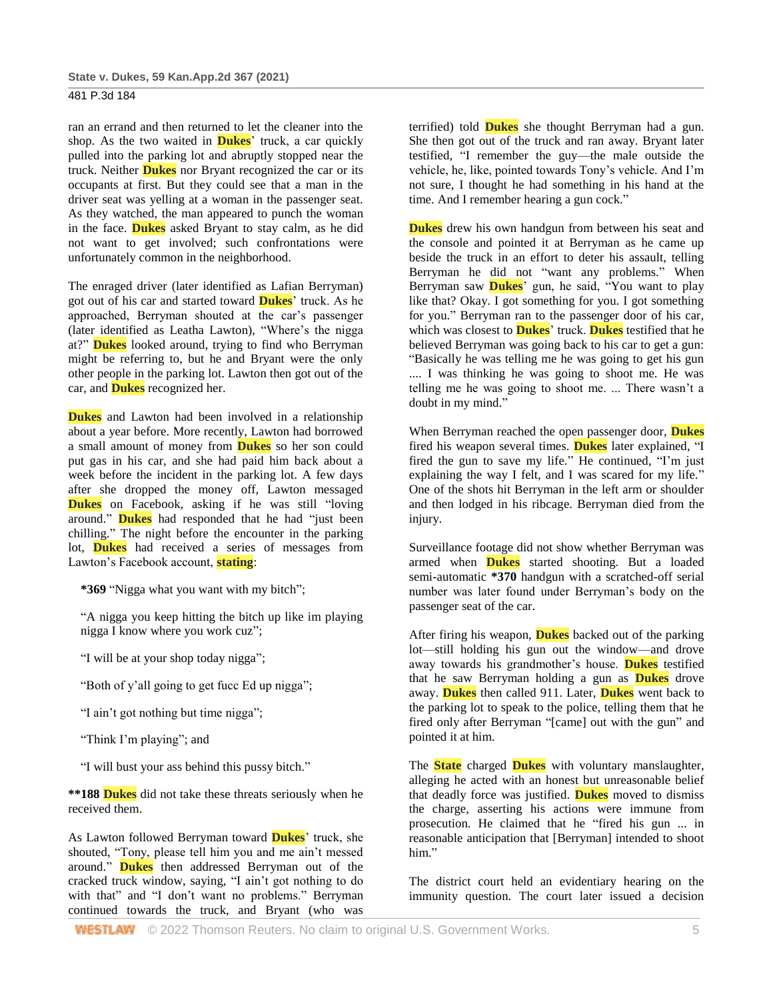ran an errand and then returned to let the cleaner into the shop. As the two waited in **Dukes**' truck, a car quickly pulled into the parking lot and abruptly stopped near the truck. Neither **Dukes** nor Bryant recognized the car or its occupants at first. But they could see that a man in the driver seat was yelling at a woman in the passenger seat. As they watched, the man appeared to punch the woman in the face. **Dukes** asked Bryant to stay calm, as he did not want to get involved; such confrontations were unfortunately common in the neighborhood.

The enraged driver (later identified as Lafian Berryman) got out of his car and started toward **Dukes**' truck. As he approached, Berryman shouted at the car's passenger (later identified as Leatha Lawton), "Where's the nigga at?" **Dukes** looked around, trying to find who Berryman might be referring to, but he and Bryant were the only other people in the parking lot. Lawton then got out of the car, and **Dukes** recognized her.

**Dukes** and Lawton had been involved in a relationship about a year before. More recently, Lawton had borrowed a small amount of money from **Dukes** so her son could put gas in his car, and she had paid him back about a week before the incident in the parking lot. A few days after she dropped the money off, Lawton messaged **Dukes** on Facebook, asking if he was still "loving" around." **Dukes** had responded that he had "just been chilling." The night before the encounter in the parking lot, **Dukes** had received a series of messages from Lawton's Facebook account, **stating**:

**\*369** "Nigga what you want with my bitch";

"A nigga you keep hitting the bitch up like im playing nigga I know where you work cuz";

"I will be at your shop today nigga";

"Both of y'all going to get fucc Ed up nigga";

"I ain't got nothing but time nigga";

"Think I'm playing"; and

"I will bust your ass behind this pussy bitch."

**\*\*188 Dukes** did not take these threats seriously when he received them.

As Lawton followed Berryman toward **Dukes**' truck, she shouted, "Tony, please tell him you and me ain't messed around." **Dukes** then addressed Berryman out of the cracked truck window, saying, "I ain't got nothing to do with that" and "I don't want no problems." Berryman continued towards the truck, and Bryant (who was terrified) told **Dukes** she thought Berryman had a gun. She then got out of the truck and ran away. Bryant later testified, "I remember the guy—the male outside the vehicle, he, like, pointed towards Tony's vehicle. And I'm not sure, I thought he had something in his hand at the time. And I remember hearing a gun cock."

**Dukes** drew his own handgun from between his seat and the console and pointed it at Berryman as he came up beside the truck in an effort to deter his assault, telling Berryman he did not "want any problems." When Berryman saw **Dukes**' gun, he said, "You want to play like that? Okay. I got something for you. I got something for you." Berryman ran to the passenger door of his car, which was closest to **Dukes**' truck. **Dukes** testified that he believed Berryman was going back to his car to get a gun: "Basically he was telling me he was going to get his gun .... I was thinking he was going to shoot me. He was telling me he was going to shoot me. ... There wasn't a doubt in my mind."

When Berryman reached the open passenger door, **Dukes** fired his weapon several times. **Dukes** later explained, "I fired the gun to save my life." He continued, "I'm just explaining the way I felt, and I was scared for my life." One of the shots hit Berryman in the left arm or shoulder and then lodged in his ribcage. Berryman died from the injury.

Surveillance footage did not show whether Berryman was armed when **Dukes** started shooting. But a loaded semi-automatic **\*370** handgun with a scratched-off serial number was later found under Berryman's body on the passenger seat of the car.

After firing his weapon, **Dukes** backed out of the parking lot—still holding his gun out the window—and drove away towards his grandmother's house. **Dukes** testified that he saw Berryman holding a gun as **Dukes** drove away. **Dukes** then called 911. Later, **Dukes** went back to the parking lot to speak to the police, telling them that he fired only after Berryman "[came] out with the gun" and pointed it at him.

The **State** charged **Dukes** with voluntary manslaughter, alleging he acted with an honest but unreasonable belief that deadly force was justified. **Dukes** moved to dismiss the charge, asserting his actions were immune from prosecution. He claimed that he "fired his gun ... in reasonable anticipation that [Berryman] intended to shoot him."

The district court held an evidentiary hearing on the immunity question. The court later issued a decision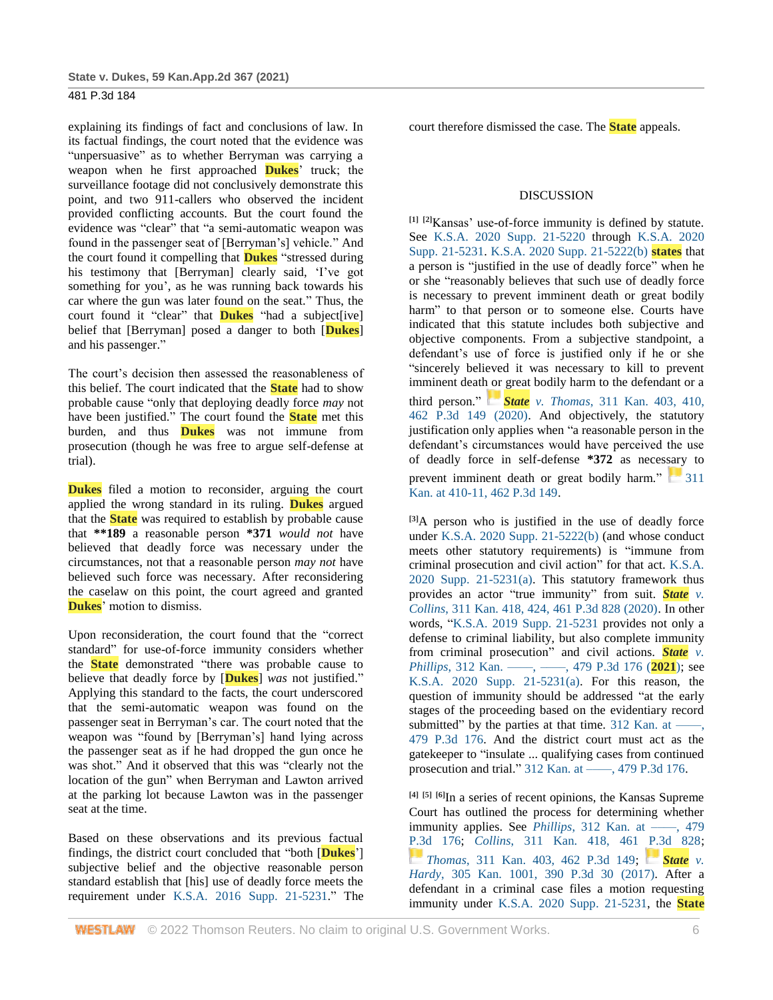explaining its findings of fact and conclusions of law. In its factual findings, the court noted that the evidence was "unpersuasive" as to whether Berryman was carrying a weapon when he first approached **Dukes**' truck; the surveillance footage did not conclusively demonstrate this point, and two 911-callers who observed the incident provided conflicting accounts. But the court found the evidence was "clear" that "a semi-automatic weapon was found in the passenger seat of [Berryman's] vehicle." And the court found it compelling that **Dukes** "stressed during his testimony that [Berryman] clearly said, 'I've got something for you', as he was running back towards his car where the gun was later found on the seat." Thus, the court found it "clear" that **Dukes** "had a subject[ive] belief that [Berryman] posed a danger to both [**Dukes**] and his passenger."

The court's decision then assessed the reasonableness of this belief. The court indicated that the **State** had to show probable cause "only that deploying deadly force *may* not have been justified." The court found the **State** met this burden, and thus **Dukes** was not immune from prosecution (though he was free to argue self-defense at trial).

**Dukes** filed a motion to reconsider, arguing the court applied the wrong standard in its ruling. **Dukes** argued that the **State** was required to establish by probable cause that **\*\*189** a reasonable person **\*371** *would not* have believed that deadly force was necessary under the circumstances, not that a reasonable person *may not* have believed such force was necessary. After reconsidering the caselaw on this point, the court agreed and granted **Dukes**' motion to dismiss.

Upon reconsideration, the court found that the "correct standard" for use-of-force immunity considers whether the **State** demonstrated "there was probable cause to believe that deadly force by [**Dukes**] *was* not justified." Applying this standard to the facts, the court underscored that the semi-automatic weapon was found on the passenger seat in Berryman's car. The court noted that the weapon was "found by [Berryman's] hand lying across the passenger seat as if he had dropped the gun once he was shot." And it observed that this was "clearly not the location of the gun" when Berryman and Lawton arrived at the parking lot because Lawton was in the passenger seat at the time.

Based on these observations and its previous factual findings, the district court concluded that "both [**Dukes**'] subjective belief and the objective reasonable person standard establish that [his] use of deadly force meets the requirement under [K.S.A. 2016 Supp. 21-5231.](http://www.westlaw.com/Link/Document/FullText?findType=L&pubNum=1001553&cite=KSSTS21-5231&originatingDoc=Ie37bdd206d5711eb94258f3a22fa6b9e&refType=LQ&originationContext=document&vr=3.0&rs=cblt1.0&transitionType=DocumentItem&contextData=(sc.Search))" The court therefore dismissed the case. The **State** appeals.

## DISCUSSION

**[1] [2]**Kansas' use-of-force immunity is defined by statute. See [K.S.A. 2020 Supp. 21-5220](http://www.westlaw.com/Link/Document/FullText?findType=L&pubNum=1001553&cite=KSSTS21-5220&originatingDoc=Ie37bdd206d5711eb94258f3a22fa6b9e&refType=LQ&originationContext=document&vr=3.0&rs=cblt1.0&transitionType=DocumentItem&contextData=(sc.Search)) through [K.S.A. 2020](http://www.westlaw.com/Link/Document/FullText?findType=L&pubNum=1001553&cite=KSSTS21-5231&originatingDoc=Ie37bdd206d5711eb94258f3a22fa6b9e&refType=LQ&originationContext=document&vr=3.0&rs=cblt1.0&transitionType=DocumentItem&contextData=(sc.Search))  [Supp. 21-5231.](http://www.westlaw.com/Link/Document/FullText?findType=L&pubNum=1001553&cite=KSSTS21-5231&originatingDoc=Ie37bdd206d5711eb94258f3a22fa6b9e&refType=LQ&originationContext=document&vr=3.0&rs=cblt1.0&transitionType=DocumentItem&contextData=(sc.Search)) [K.S.A. 2020 Supp. 21-5222\(b\)](http://www.westlaw.com/Link/Document/FullText?findType=L&pubNum=1001553&cite=KSSTS21-5222&originatingDoc=Ie37bdd206d5711eb94258f3a22fa6b9e&refType=SP&originationContext=document&vr=3.0&rs=cblt1.0&transitionType=DocumentItem&contextData=(sc.Search)#co_pp_a83b000018c76) **states** that a person is "justified in the use of deadly force" when he or she "reasonably believes that such use of deadly force is necessary to prevent imminent death or great bodily harm" to that person or to someone else. Courts have indicated that this statute includes both subjective and objective components. From a subjective standpoint, a defendant's use of force is justified only if he or she "sincerely believed it was necessary to kill to prevent imminent death or great bodily harm to the defendant or a third person." *[S](https://1.next.westlaw.com/Link/RelatedInformation/Flag?documentGuid=I978e96c0868811ea917493a0e993e9ad&transitionType=InlineKeyCiteFlags&originationContext=docHeaderFlag&Rank=2&ppcid=31ba2c1cab3b4d77a9a39c0696a5ef07&contextData=(sc.Search))tate v. Thomas*[, 311 Kan. 403, 410,](https://1.next.westlaw.com/Link/RelatedInformation/Flag?documentGuid=I978e96c0868811ea917493a0e993e9ad&transitionType=InlineKeyCiteFlags&originationContext=docHeaderFlag&Rank=2&ppcid=31ba2c1cab3b4d77a9a39c0696a5ef07&contextData=(sc.Search))  [462 P.3d 149 \(2020\).](http://www.westlaw.com/Link/Document/FullText?findType=Y&serNum=2050838344&pubNum=0000458&originatingDoc=Ie37bdd206d5711eb94258f3a22fa6b9e&refType=RP&fi=co_pp_sp_458_410&originationContext=document&vr=3.0&rs=cblt1.0&transitionType=DocumentItem&contextData=(sc.Search)#co_pp_sp_458_410) And objectively, the statutory justification only applies when "a reasonable person in the defendant's circumstances would have perceived the use of deadly force in self-defense **\*372** as necessary to prevent imminent death or great bodily harm." 311 [Kan. at 410-11, 462 P.3d 149.](http://www.westlaw.com/Link/Document/FullText?findType=Y&serNum=2050838344&pubNum=0000458&originatingDoc=Ie37bdd206d5711eb94258f3a22fa6b9e&refType=RP&fi=co_pp_sp_458_410&originationContext=document&vr=3.0&rs=cblt1.0&transitionType=DocumentItem&contextData=(sc.Search)#co_pp_sp_458_410)

**[3]**A person who is justified in the use of deadly force under [K.S.A. 2020 Supp. 21-5222\(b\)](http://www.westlaw.com/Link/Document/FullText?findType=L&pubNum=1001553&cite=KSSTS21-5222&originatingDoc=Ie37bdd206d5711eb94258f3a22fa6b9e&refType=SP&originationContext=document&vr=3.0&rs=cblt1.0&transitionType=DocumentItem&contextData=(sc.Search)#co_pp_a83b000018c76) (and whose conduct meets other statutory requirements) is "immune from criminal prosecution and civil action" for that act. [K.S.A.](http://www.westlaw.com/Link/Document/FullText?findType=L&pubNum=1001553&cite=KSSTS21-5231&originatingDoc=Ie37bdd206d5711eb94258f3a22fa6b9e&refType=SP&originationContext=document&vr=3.0&rs=cblt1.0&transitionType=DocumentItem&contextData=(sc.Search)#co_pp_8b3b0000958a4)  [2020 Supp. 21-5231\(a\).](http://www.westlaw.com/Link/Document/FullText?findType=L&pubNum=1001553&cite=KSSTS21-5231&originatingDoc=Ie37bdd206d5711eb94258f3a22fa6b9e&refType=SP&originationContext=document&vr=3.0&rs=cblt1.0&transitionType=DocumentItem&contextData=(sc.Search)#co_pp_8b3b0000958a4) This statutory framework thus provides an actor "true immunity" from suit. *[State](http://www.westlaw.com/Link/Document/FullText?findType=Y&serNum=2050838347&pubNum=0000458&originatingDoc=Ie37bdd206d5711eb94258f3a22fa6b9e&refType=RP&fi=co_pp_sp_458_424&originationContext=document&vr=3.0&rs=cblt1.0&transitionType=DocumentItem&contextData=(sc.Search)#co_pp_sp_458_424) v. Collins*[, 311 Kan. 418, 424, 461 P.3d 828 \(2020\).](http://www.westlaw.com/Link/Document/FullText?findType=Y&serNum=2050838347&pubNum=0000458&originatingDoc=Ie37bdd206d5711eb94258f3a22fa6b9e&refType=RP&fi=co_pp_sp_458_424&originationContext=document&vr=3.0&rs=cblt1.0&transitionType=DocumentItem&contextData=(sc.Search)#co_pp_sp_458_424) In other words, ["K.S.A. 2019 Supp. 21-5231](http://www.westlaw.com/Link/Document/FullText?findType=L&pubNum=1001553&cite=KSSTS21-5231&originatingDoc=Ie37bdd206d5711eb94258f3a22fa6b9e&refType=LQ&originationContext=document&vr=3.0&rs=cblt1.0&transitionType=DocumentItem&contextData=(sc.Search)) provides not only a defense to criminal liability, but also complete immunity from criminal prosecution" and civil actions. *[State](http://www.westlaw.com/Link/Document/FullText?findType=Y&serNum=2052771297&pubNum=0004645&originatingDoc=Ie37bdd206d5711eb94258f3a22fa6b9e&refType=RP&originationContext=document&vr=3.0&rs=cblt1.0&transitionType=DocumentItem&contextData=(sc.Search)) v. Phillips*, 312 Kan. ——, ——, 479 P.3d 176 (**2021**); see [K.S.A. 2020 Supp. 21-5231\(a\).](http://www.westlaw.com/Link/Document/FullText?findType=L&pubNum=1001553&cite=KSSTS21-5231&originatingDoc=Ie37bdd206d5711eb94258f3a22fa6b9e&refType=SP&originationContext=document&vr=3.0&rs=cblt1.0&transitionType=DocumentItem&contextData=(sc.Search)#co_pp_8b3b0000958a4) For this reason, the question of immunity should be addressed "at the early stages of the proceeding based on the evidentiary record submitted" by the parties at that time.  $312$  Kan. at —–, [479 P.3d 176.](http://www.westlaw.com/Link/Document/FullText?findType=Y&serNum=2052771297&pubNum=0004645&originatingDoc=Ie37bdd206d5711eb94258f3a22fa6b9e&refType=RP&originationContext=document&vr=3.0&rs=cblt1.0&transitionType=DocumentItem&contextData=(sc.Search)) And the district court must act as the gatekeeper to "insulate ... qualifying cases from continued prosecution and trial." [312 Kan. at ––––, 479 P.3d 176.](http://www.westlaw.com/Link/Document/FullText?findType=Y&serNum=2052771297&pubNum=0004645&originatingDoc=Ie37bdd206d5711eb94258f3a22fa6b9e&refType=RP&originationContext=document&vr=3.0&rs=cblt1.0&transitionType=DocumentItem&contextData=(sc.Search))

**[4] [5] [6]**In a series of recent opinions, the Kansas Supreme Court has outlined the process for determining whether immunity applies. See *Phillips*, 312 Kan. at —–, 479 [P.3d 176;](http://www.westlaw.com/Link/Document/FullText?findType=Y&serNum=2052771297&pubNum=0004645&originatingDoc=Ie37bdd206d5711eb94258f3a22fa6b9e&refType=RP&originationContext=document&vr=3.0&rs=cblt1.0&transitionType=DocumentItem&contextData=(sc.Search)) *Collins*[, 311 Kan. 418, 461 P.3d 828;](http://www.westlaw.com/Link/Document/FullText?findType=Y&serNum=2050838347&pubNum=0004645&originatingDoc=Ie37bdd206d5711eb94258f3a22fa6b9e&refType=RP&originationContext=document&vr=3.0&rs=cblt1.0&transitionType=DocumentItem&contextData=(sc.Search)) *[T](https://1.next.westlaw.com/Link/RelatedInformation/Flag?documentGuid=I978e96c0868811ea917493a0e993e9ad&transitionType=InlineKeyCiteFlags&originationContext=docHeaderFlag&Rank=2&ppcid=31ba2c1cab3b4d77a9a39c0696a5ef07&contextData=(sc.Search))homas*[, 311 Kan. 403, 462 P.3d 149;](https://1.next.westlaw.com/Link/RelatedInformation/Flag?documentGuid=I978e96c0868811ea917493a0e993e9ad&transitionType=InlineKeyCiteFlags&originationContext=docHeaderFlag&Rank=2&ppcid=31ba2c1cab3b4d77a9a39c0696a5ef07&contextData=(sc.Search)) *[State](https://1.next.westlaw.com/Link/RelatedInformation/Flag?documentGuid=Iac380380098211e7b984d2f99f0977c6&transitionType=InlineKeyCiteFlags&originationContext=docHeaderFlag&Rank=2&ppcid=31ba2c1cab3b4d77a9a39c0696a5ef07&contextData=(sc.Search)) v. Hardy*[, 305 Kan. 1001, 390 P.3d 30](http://www.westlaw.com/Link/Document/FullText?findType=Y&serNum=2041235268&pubNum=0004645&originatingDoc=Ie37bdd206d5711eb94258f3a22fa6b9e&refType=RP&originationContext=document&vr=3.0&rs=cblt1.0&transitionType=DocumentItem&contextData=(sc.Search)) (2017). After a defendant in a criminal case files a motion requesting immunity under [K.S.A. 2020 Supp. 21-5231,](http://www.westlaw.com/Link/Document/FullText?findType=L&pubNum=1001553&cite=KSSTS21-5231&originatingDoc=Ie37bdd206d5711eb94258f3a22fa6b9e&refType=LQ&originationContext=document&vr=3.0&rs=cblt1.0&transitionType=DocumentItem&contextData=(sc.Search)) the **State**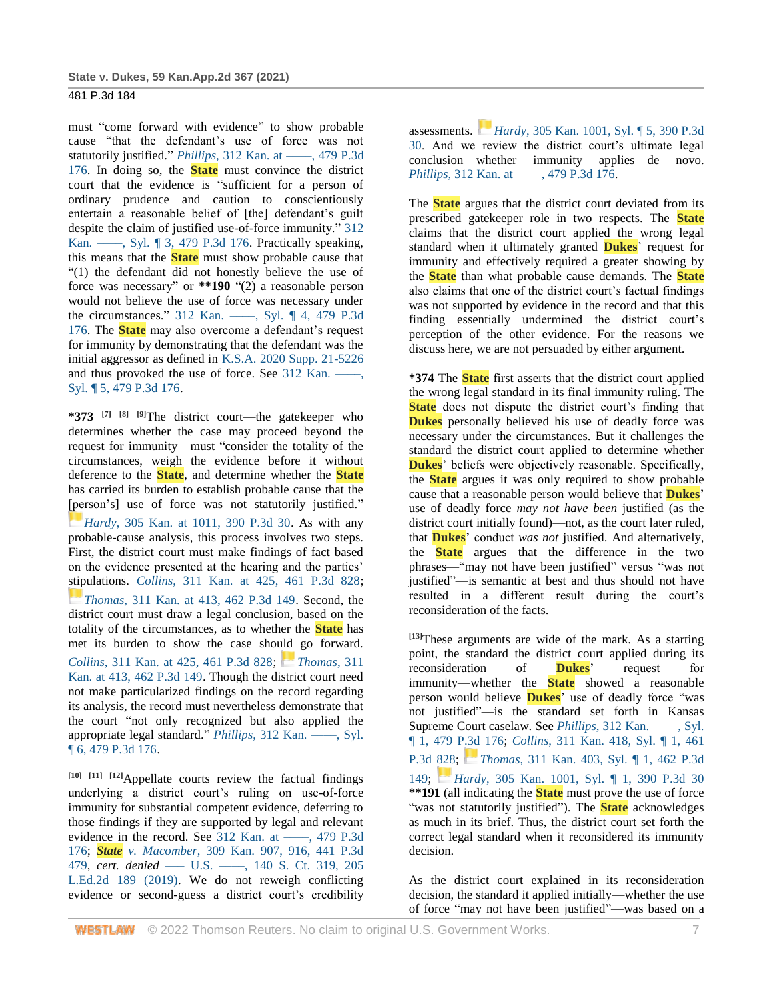must "come forward with evidence" to show probable cause "that the defendant's use of force was not statutorily justified." *Phillips*, 312 Kan. at —–, 479 P.3d [176.](http://www.westlaw.com/Link/Document/FullText?findType=Y&serNum=2052771297&pubNum=0004645&originatingDoc=Ie37bdd206d5711eb94258f3a22fa6b9e&refType=RP&originationContext=document&vr=3.0&rs=cblt1.0&transitionType=DocumentItem&contextData=(sc.Search)) In doing so, the **State** must convince the district court that the evidence is "sufficient for a person of ordinary prudence and caution to conscientiously entertain a reasonable belief of [the] defendant's guilt despite the claim of justified use-of-force immunity." [312](http://www.westlaw.com/Link/Document/FullText?findType=Y&serNum=2052771297&pubNum=0004645&originatingDoc=Ie37bdd206d5711eb94258f3a22fa6b9e&refType=RP&originationContext=document&vr=3.0&rs=cblt1.0&transitionType=DocumentItem&contextData=(sc.Search))  Kan. —–, Syl. ¶ 3, 479 P.3d 176. Practically speaking, this means that the **State** must show probable cause that "(1) the defendant did not honestly believe the use of force was necessary" or **\*\*190** "(2) a reasonable person would not believe the use of force was necessary under the circumstances." [312 Kan. ––––, Syl. ¶ 4, 479 P.3d](http://www.westlaw.com/Link/Document/FullText?findType=Y&serNum=2052771297&pubNum=0004645&originatingDoc=Ie37bdd206d5711eb94258f3a22fa6b9e&refType=RP&originationContext=document&vr=3.0&rs=cblt1.0&transitionType=DocumentItem&contextData=(sc.Search))  [176.](http://www.westlaw.com/Link/Document/FullText?findType=Y&serNum=2052771297&pubNum=0004645&originatingDoc=Ie37bdd206d5711eb94258f3a22fa6b9e&refType=RP&originationContext=document&vr=3.0&rs=cblt1.0&transitionType=DocumentItem&contextData=(sc.Search)) The **State** may also overcome a defendant's request for immunity by demonstrating that the defendant was the initial aggressor as defined in [K.S.A. 2020 Supp. 21-5226](http://www.westlaw.com/Link/Document/FullText?findType=L&pubNum=1001553&cite=KSSTS21-5226&originatingDoc=Ie37bdd206d5711eb94258f3a22fa6b9e&refType=LQ&originationContext=document&vr=3.0&rs=cblt1.0&transitionType=DocumentItem&contextData=(sc.Search)) and thus provoked the use of force. See  $312$  Kan. – [Syl. ¶ 5, 479 P.3d 176.](http://www.westlaw.com/Link/Document/FullText?findType=Y&serNum=2052771297&pubNum=0004645&originatingDoc=Ie37bdd206d5711eb94258f3a22fa6b9e&refType=RP&originationContext=document&vr=3.0&rs=cblt1.0&transitionType=DocumentItem&contextData=(sc.Search))

**\*373 [7] [8] [9]**The district court—the gatekeeper who determines whether the case may proceed beyond the request for immunity—must "consider the totality of the circumstances, weigh the evidence before it without deference to the **State**, and determine whether the **State** has carried its burden to establish probable cause that the [person's] use of force was not statutorily justified." *[H](https://1.next.westlaw.com/Link/RelatedInformation/Flag?documentGuid=Iac380380098211e7b984d2f99f0977c6&transitionType=InlineKeyCiteFlags&originationContext=docHeaderFlag&Rank=2&ppcid=31ba2c1cab3b4d77a9a39c0696a5ef07&contextData=(sc.Search))ardy*[, 305 Kan. at 1011, 390 P.3d 30.](https://1.next.westlaw.com/Link/RelatedInformation/Flag?documentGuid=Iac380380098211e7b984d2f99f0977c6&transitionType=InlineKeyCiteFlags&originationContext=docHeaderFlag&Rank=2&ppcid=31ba2c1cab3b4d77a9a39c0696a5ef07&contextData=(sc.Search)) As with any probable-cause analysis, this process involves two steps. First, the district court must make findings of fact based on the evidence presented at the hearing and the parties' stipulations. *Collins*[, 311 Kan. at 425, 461 P.3d 828;](http://www.westlaw.com/Link/Document/FullText?findType=Y&serNum=2050838347&pubNum=0000458&originatingDoc=Ie37bdd206d5711eb94258f3a22fa6b9e&refType=RP&fi=co_pp_sp_458_425&originationContext=document&vr=3.0&rs=cblt1.0&transitionType=DocumentItem&contextData=(sc.Search)#co_pp_sp_458_425) *[T](https://1.next.westlaw.com/Link/RelatedInformation/Flag?documentGuid=I978e96c0868811ea917493a0e993e9ad&transitionType=InlineKeyCiteFlags&originationContext=docHeaderFlag&Rank=2&ppcid=31ba2c1cab3b4d77a9a39c0696a5ef07&contextData=(sc.Search))homas*[, 311 Kan. at 413, 462 P.3d 149.](https://1.next.westlaw.com/Link/RelatedInformation/Flag?documentGuid=I978e96c0868811ea917493a0e993e9ad&transitionType=InlineKeyCiteFlags&originationContext=docHeaderFlag&Rank=2&ppcid=31ba2c1cab3b4d77a9a39c0696a5ef07&contextData=(sc.Search)) Second, the district court must draw a legal conclusion, based on the totality of the circumstances, as to whether the **State** has met its burden to show the case should go forward. *Collins*[, 311 Kan. at 425, 461 P.3d 828;](http://www.westlaw.com/Link/Document/FullText?findType=Y&serNum=2050838347&pubNum=0000458&originatingDoc=Ie37bdd206d5711eb94258f3a22fa6b9e&refType=RP&fi=co_pp_sp_458_425&originationContext=document&vr=3.0&rs=cblt1.0&transitionType=DocumentItem&contextData=(sc.Search)#co_pp_sp_458_425) *[Thomas](https://1.next.westlaw.com/Link/RelatedInformation/Flag?documentGuid=I978e96c0868811ea917493a0e993e9ad&transitionType=InlineKeyCiteFlags&originationContext=docHeaderFlag&Rank=2&ppcid=31ba2c1cab3b4d77a9a39c0696a5ef07&contextData=(sc.Search))*, 311 [Kan. at 413, 462 P.3d 149.](http://www.westlaw.com/Link/Document/FullText?findType=Y&serNum=2050838344&pubNum=0000458&originatingDoc=Ie37bdd206d5711eb94258f3a22fa6b9e&refType=RP&fi=co_pp_sp_458_413&originationContext=document&vr=3.0&rs=cblt1.0&transitionType=DocumentItem&contextData=(sc.Search)#co_pp_sp_458_413) Though the district court need not make particularized findings on the record regarding its analysis, the record must nevertheless demonstrate that the court "not only recognized but also applied the appropriate legal standard." *Phillips*[, 312 Kan. ––––, Syl.](http://www.westlaw.com/Link/Document/FullText?findType=Y&serNum=2052771297&pubNum=0004645&originatingDoc=Ie37bdd206d5711eb94258f3a22fa6b9e&refType=RP&originationContext=document&vr=3.0&rs=cblt1.0&transitionType=DocumentItem&contextData=(sc.Search))  [¶ 6, 479 P.3d 176.](http://www.westlaw.com/Link/Document/FullText?findType=Y&serNum=2052771297&pubNum=0004645&originatingDoc=Ie37bdd206d5711eb94258f3a22fa6b9e&refType=RP&originationContext=document&vr=3.0&rs=cblt1.0&transitionType=DocumentItem&contextData=(sc.Search))

**[10] [11] [12]**Appellate courts review the factual findings underlying a district court's ruling on use-of-force immunity for substantial competent evidence, deferring to those findings if they are supported by legal and relevant evidence in the record. See 312 Kan. at ——, 479 P.3d [176;](http://www.westlaw.com/Link/Document/FullText?findType=Y&serNum=2052771297&pubNum=0004645&originatingDoc=Ie37bdd206d5711eb94258f3a22fa6b9e&refType=RP&originationContext=document&vr=3.0&rs=cblt1.0&transitionType=DocumentItem&contextData=(sc.Search)) *State v. Macomber*[, 309 Kan. 907, 916, 441 P.3d](http://www.westlaw.com/Link/Document/FullText?findType=Y&serNum=2048297124&pubNum=0000458&originatingDoc=Ie37bdd206d5711eb94258f3a22fa6b9e&refType=RP&fi=co_pp_sp_458_916&originationContext=document&vr=3.0&rs=cblt1.0&transitionType=DocumentItem&contextData=(sc.Search)#co_pp_sp_458_916)  [479,](http://www.westlaw.com/Link/Document/FullText?findType=Y&serNum=2048297124&pubNum=0000458&originatingDoc=Ie37bdd206d5711eb94258f3a22fa6b9e&refType=RP&fi=co_pp_sp_458_916&originationContext=document&vr=3.0&rs=cblt1.0&transitionType=DocumentItem&contextData=(sc.Search)#co_pp_sp_458_916) *cert. denied* —– U.S. —–, 140 S. Ct. 319, 205 [L.Ed.2d 189 \(2019\).](http://www.westlaw.com/Link/Document/FullText?findType=Y&serNum=2049350923&pubNum=0000708&originatingDoc=Ie37bdd206d5711eb94258f3a22fa6b9e&refType=RP&originationContext=document&vr=3.0&rs=cblt1.0&transitionType=DocumentItem&contextData=(sc.Search)) We do not reweigh conflicting evidence or second-guess a district court's credibility assessments. *[H](https://1.next.westlaw.com/Link/RelatedInformation/Flag?documentGuid=Iac380380098211e7b984d2f99f0977c6&transitionType=InlineKeyCiteFlags&originationContext=docHeaderFlag&Rank=2&ppcid=31ba2c1cab3b4d77a9a39c0696a5ef07&contextData=(sc.Search))ardy*[, 305 Kan. 1001, Syl. ¶ 5, 390 P.3d](https://1.next.westlaw.com/Link/RelatedInformation/Flag?documentGuid=Iac380380098211e7b984d2f99f0977c6&transitionType=InlineKeyCiteFlags&originationContext=docHeaderFlag&Rank=2&ppcid=31ba2c1cab3b4d77a9a39c0696a5ef07&contextData=(sc.Search))  [30.](http://www.westlaw.com/Link/Document/FullText?findType=Y&serNum=2041235268&pubNum=0004645&originatingDoc=Ie37bdd206d5711eb94258f3a22fa6b9e&refType=RP&originationContext=document&vr=3.0&rs=cblt1.0&transitionType=DocumentItem&contextData=(sc.Search)) And we review the district court's ultimate legal conclusion—whether immunity applies—de novo. *Phillips*, 312 Kan. at —–, 479 P.3d 176.

The **State** argues that the district court deviated from its prescribed gatekeeper role in two respects. The **State** claims that the district court applied the wrong legal standard when it ultimately granted **Dukes**' request for immunity and effectively required a greater showing by the **State** than what probable cause demands. The **State** also claims that one of the district court's factual findings was not supported by evidence in the record and that this finding essentially undermined the district court's perception of the other evidence. For the reasons we discuss here, we are not persuaded by either argument.

**\*374** The **State** first asserts that the district court applied the wrong legal standard in its final immunity ruling. The **State** does not dispute the district court's finding that **Dukes** personally believed his use of deadly force was necessary under the circumstances. But it challenges the standard the district court applied to determine whether **Dukes**' beliefs were objectively reasonable. Specifically, the **State** argues it was only required to show probable cause that a reasonable person would believe that **Dukes**' use of deadly force *may not have been* justified (as the district court initially found)—not, as the court later ruled, that **Dukes**' conduct *was not* justified. And alternatively, the **State** argues that the difference in the two phrases—"may not have been justified" versus "was not justified"—is semantic at best and thus should not have resulted in a different result during the court's reconsideration of the facts.

**[13]**These arguments are wide of the mark. As a starting point, the standard the district court applied during its reconsideration of **Dukes**' request for immunity—whether the **State** showed a reasonable person would believe **Dukes**' use of deadly force "was not justified"—is the standard set forth in Kansas Supreme Court caselaw. See *Phillips*, 312 Kan. —–, Syl. [¶ 1, 479 P.3d 176;](http://www.westlaw.com/Link/Document/FullText?findType=Y&serNum=2052771297&pubNum=0004645&originatingDoc=Ie37bdd206d5711eb94258f3a22fa6b9e&refType=RP&originationContext=document&vr=3.0&rs=cblt1.0&transitionType=DocumentItem&contextData=(sc.Search)) *Collins*[, 311 Kan. 418, Syl. ¶ 1, 461](http://www.westlaw.com/Link/Document/FullText?findType=Y&serNum=2050838347&pubNum=0004645&originatingDoc=Ie37bdd206d5711eb94258f3a22fa6b9e&refType=RP&originationContext=document&vr=3.0&rs=cblt1.0&transitionType=DocumentItem&contextData=(sc.Search))  [P.3d 828;](http://www.westlaw.com/Link/Document/FullText?findType=Y&serNum=2050838347&pubNum=0004645&originatingDoc=Ie37bdd206d5711eb94258f3a22fa6b9e&refType=RP&originationContext=document&vr=3.0&rs=cblt1.0&transitionType=DocumentItem&contextData=(sc.Search)) *[T](https://1.next.westlaw.com/Link/RelatedInformation/Flag?documentGuid=I978e96c0868811ea917493a0e993e9ad&transitionType=InlineKeyCiteFlags&originationContext=docHeaderFlag&Rank=2&ppcid=31ba2c1cab3b4d77a9a39c0696a5ef07&contextData=(sc.Search))homas*[, 311 Kan. 403, Syl. ¶ 1, 462 P.3d](https://1.next.westlaw.com/Link/RelatedInformation/Flag?documentGuid=I978e96c0868811ea917493a0e993e9ad&transitionType=InlineKeyCiteFlags&originationContext=docHeaderFlag&Rank=2&ppcid=31ba2c1cab3b4d77a9a39c0696a5ef07&contextData=(sc.Search))  [149;](http://www.westlaw.com/Link/Document/FullText?findType=Y&serNum=2050838344&pubNum=0004645&originatingDoc=Ie37bdd206d5711eb94258f3a22fa6b9e&refType=RP&originationContext=document&vr=3.0&rs=cblt1.0&transitionType=DocumentItem&contextData=(sc.Search)) *[H](https://1.next.westlaw.com/Link/RelatedInformation/Flag?documentGuid=Iac380380098211e7b984d2f99f0977c6&transitionType=InlineKeyCiteFlags&originationContext=docHeaderFlag&Rank=2&ppcid=31ba2c1cab3b4d77a9a39c0696a5ef07&contextData=(sc.Search))ardy*[, 305 Kan. 1001, Syl. ¶ 1, 390 P.3d 30](https://1.next.westlaw.com/Link/RelatedInformation/Flag?documentGuid=Iac380380098211e7b984d2f99f0977c6&transitionType=InlineKeyCiteFlags&originationContext=docHeaderFlag&Rank=2&ppcid=31ba2c1cab3b4d77a9a39c0696a5ef07&contextData=(sc.Search)) **\*\*191** (all indicating the **State** must prove the use of force "was not statutorily justified"). The **State** acknowledges as much in its brief. Thus, the district court set forth the correct legal standard when it reconsidered its immunity decision.

As the district court explained in its reconsideration decision, the standard it applied initially—whether the use of force "may not have been justified"—was based on a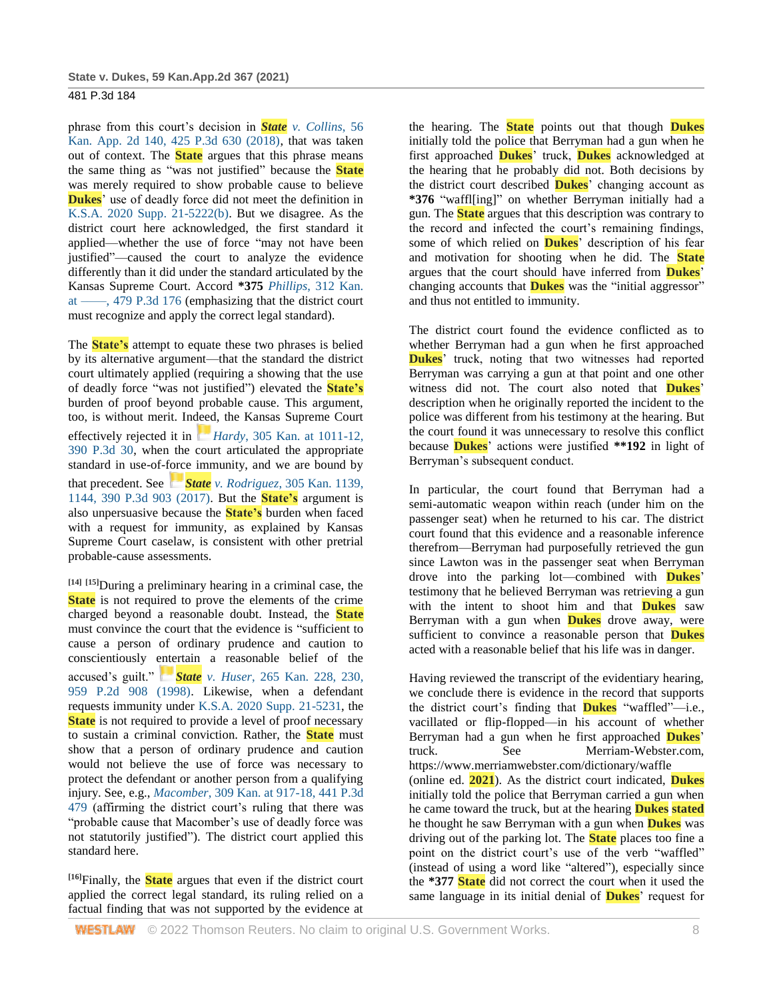phrase from this court's decision in *State [v. Collins](http://www.westlaw.com/Link/Document/FullText?findType=Y&serNum=2045075394&pubNum=0004645&originatingDoc=Ie37bdd206d5711eb94258f3a22fa6b9e&refType=RP&originationContext=document&vr=3.0&rs=cblt1.0&transitionType=DocumentItem&contextData=(sc.Search))*, 56 [Kan. App. 2d 140, 425 P.3d 630 \(2018\),](http://www.westlaw.com/Link/Document/FullText?findType=Y&serNum=2045075394&pubNum=0004645&originatingDoc=Ie37bdd206d5711eb94258f3a22fa6b9e&refType=RP&originationContext=document&vr=3.0&rs=cblt1.0&transitionType=DocumentItem&contextData=(sc.Search)) that was taken out of context. The **State** argues that this phrase means the same thing as "was not justified" because the **State** was merely required to show probable cause to believe **Dukes**' use of deadly force did not meet the definition in [K.S.A. 2020 Supp. 21-5222\(b\).](http://www.westlaw.com/Link/Document/FullText?findType=L&pubNum=1001553&cite=KSSTS21-5222&originatingDoc=Ie37bdd206d5711eb94258f3a22fa6b9e&refType=SP&originationContext=document&vr=3.0&rs=cblt1.0&transitionType=DocumentItem&contextData=(sc.Search)#co_pp_a83b000018c76) But we disagree. As the district court here acknowledged, the first standard it applied—whether the use of force "may not have been justified"—caused the court to analyze the evidence differently than it did under the standard articulated by the Kansas Supreme Court. Accord **\*375** *Phillips*[, 312 Kan.](http://www.westlaw.com/Link/Document/FullText?findType=Y&serNum=2052771297&pubNum=0004645&originatingDoc=Ie37bdd206d5711eb94258f3a22fa6b9e&refType=RP&originationContext=document&vr=3.0&rs=cblt1.0&transitionType=DocumentItem&contextData=(sc.Search))  [at ––––, 479 P.3d 176](http://www.westlaw.com/Link/Document/FullText?findType=Y&serNum=2052771297&pubNum=0004645&originatingDoc=Ie37bdd206d5711eb94258f3a22fa6b9e&refType=RP&originationContext=document&vr=3.0&rs=cblt1.0&transitionType=DocumentItem&contextData=(sc.Search)) (emphasizing that the district court must recognize and apply the correct legal standard).

The **State's** attempt to equate these two phrases is belied by its alternative argument—that the standard the district court ultimately applied (requiring a showing that the use of deadly force "was not justified") elevated the **State's** burden of proof beyond probable cause. This argument, too, is without merit. Indeed, the Kansas Supreme Court effectively rejected it in *[H](https://1.next.westlaw.com/Link/RelatedInformation/Flag?documentGuid=Iac380380098211e7b984d2f99f0977c6&transitionType=InlineKeyCiteFlags&originationContext=docHeaderFlag&Rank=2&ppcid=31ba2c1cab3b4d77a9a39c0696a5ef07&contextData=(sc.Search))ardy*, 305 Kan. at 1011-12, 390 [P.3d 30,](http://www.westlaw.com/Link/Document/FullText?findType=Y&serNum=2041235268&pubNum=0000458&originatingDoc=Ie37bdd206d5711eb94258f3a22fa6b9e&refType=RP&fi=co_pp_sp_458_1011&originationContext=document&vr=3.0&rs=cblt1.0&transitionType=DocumentItem&contextData=(sc.Search)#co_pp_sp_458_1011) when the court articulated the appropriate standard in use-of-force immunity, and we are bound by that precedent. See *[S](https://1.next.westlaw.com/Link/RelatedInformation/Flag?documentGuid=I4c630b7010f911e7b984d2f99f0977c6&transitionType=InlineKeyCiteFlags&originationContext=docHeaderFlag&Rank=2&ppcid=31ba2c1cab3b4d77a9a39c0696a5ef07&contextData=(sc.Search))tate v. Rodriguez*[, 305 Kan. 1139,](https://1.next.westlaw.com/Link/RelatedInformation/Flag?documentGuid=I4c630b7010f911e7b984d2f99f0977c6&transitionType=InlineKeyCiteFlags&originationContext=docHeaderFlag&Rank=2&ppcid=31ba2c1cab3b4d77a9a39c0696a5ef07&contextData=(sc.Search))  [1144, 390 P.3d 903 \(2017\).](http://www.westlaw.com/Link/Document/FullText?findType=Y&serNum=2041306093&pubNum=0000458&originatingDoc=Ie37bdd206d5711eb94258f3a22fa6b9e&refType=RP&fi=co_pp_sp_458_1144&originationContext=document&vr=3.0&rs=cblt1.0&transitionType=DocumentItem&contextData=(sc.Search)#co_pp_sp_458_1144) But the **State's** argument is also unpersuasive because the **State's** burden when faced with a request for immunity, as explained by Kansas Supreme Court caselaw, is consistent with other pretrial probable-cause assessments.

**[14] [15]**During a preliminary hearing in a criminal case, the **State** is not required to prove the elements of the crime charged beyond a reasonable doubt. Instead, the **State** must convince the court that the evidence is "sufficient to cause a person of ordinary prudence and caution to conscientiously entertain a reasonable belief of the accused's guilt." *[S](https://1.next.westlaw.com/Link/RelatedInformation/Flag?documentGuid=I6e871256f56811d98ac8f235252e36df&transitionType=InlineKeyCiteFlags&originationContext=docHeaderFlag&Rank=2&ppcid=31ba2c1cab3b4d77a9a39c0696a5ef07&contextData=(sc.Search))tate v. Huser*[, 265 Kan. 228, 230,](https://1.next.westlaw.com/Link/RelatedInformation/Flag?documentGuid=I6e871256f56811d98ac8f235252e36df&transitionType=InlineKeyCiteFlags&originationContext=docHeaderFlag&Rank=2&ppcid=31ba2c1cab3b4d77a9a39c0696a5ef07&contextData=(sc.Search))  [959 P.2d 908 \(1998\).](http://www.westlaw.com/Link/Document/FullText?findType=Y&serNum=1998116080&pubNum=0000458&originatingDoc=Ie37bdd206d5711eb94258f3a22fa6b9e&refType=RP&fi=co_pp_sp_458_230&originationContext=document&vr=3.0&rs=cblt1.0&transitionType=DocumentItem&contextData=(sc.Search)#co_pp_sp_458_230) Likewise, when a defendant requests immunity under [K.S.A. 2020 Supp. 21-5231,](http://www.westlaw.com/Link/Document/FullText?findType=L&pubNum=1001553&cite=KSSTS21-5231&originatingDoc=Ie37bdd206d5711eb94258f3a22fa6b9e&refType=LQ&originationContext=document&vr=3.0&rs=cblt1.0&transitionType=DocumentItem&contextData=(sc.Search)) the **State** is not required to provide a level of proof necessary to sustain a criminal conviction. Rather, the **State** must show that a person of ordinary prudence and caution would not believe the use of force was necessary to protect the defendant or another person from a qualifying injury. See, e.g., *Macomber*[, 309 Kan. at 917-18, 441 P.3d](http://www.westlaw.com/Link/Document/FullText?findType=Y&serNum=2048297124&pubNum=0000458&originatingDoc=Ie37bdd206d5711eb94258f3a22fa6b9e&refType=RP&fi=co_pp_sp_458_917&originationContext=document&vr=3.0&rs=cblt1.0&transitionType=DocumentItem&contextData=(sc.Search)#co_pp_sp_458_917)  [479](http://www.westlaw.com/Link/Document/FullText?findType=Y&serNum=2048297124&pubNum=0000458&originatingDoc=Ie37bdd206d5711eb94258f3a22fa6b9e&refType=RP&fi=co_pp_sp_458_917&originationContext=document&vr=3.0&rs=cblt1.0&transitionType=DocumentItem&contextData=(sc.Search)#co_pp_sp_458_917) (affirming the district court's ruling that there was "probable cause that Macomber's use of deadly force was not statutorily justified"). The district court applied this standard here.

**[16]**Finally, the **State** argues that even if the district court applied the correct legal standard, its ruling relied on a factual finding that was not supported by the evidence at the hearing. The **State** points out that though **Dukes** initially told the police that Berryman had a gun when he first approached **Dukes**' truck, **Dukes** acknowledged at the hearing that he probably did not. Both decisions by the district court described **Dukes**' changing account as **\*376** "waffl[ing]" on whether Berryman initially had a gun. The **State** argues that this description was contrary to the record and infected the court's remaining findings, some of which relied on **Dukes**' description of his fear and motivation for shooting when he did. The **State** argues that the court should have inferred from **Dukes**' changing accounts that **Dukes** was the "initial aggressor" and thus not entitled to immunity.

The district court found the evidence conflicted as to whether Berryman had a gun when he first approached **Dukes**' truck, noting that two witnesses had reported Berryman was carrying a gun at that point and one other witness did not. The court also noted that **Dukes**' description when he originally reported the incident to the police was different from his testimony at the hearing. But the court found it was unnecessary to resolve this conflict because **Dukes**' actions were justified **\*\*192** in light of Berryman's subsequent conduct.

In particular, the court found that Berryman had a semi-automatic weapon within reach (under him on the passenger seat) when he returned to his car. The district court found that this evidence and a reasonable inference therefrom—Berryman had purposefully retrieved the gun since Lawton was in the passenger seat when Berryman drove into the parking lot—combined with **Dukes**' testimony that he believed Berryman was retrieving a gun with the intent to shoot him and that **Dukes** saw Berryman with a gun when **Dukes** drove away, were sufficient to convince a reasonable person that **Dukes** acted with a reasonable belief that his life was in danger.

Having reviewed the transcript of the evidentiary hearing, we conclude there is evidence in the record that supports the district court's finding that **Dukes** "waffled"—i.e., vacillated or flip-flopped—in his account of whether Berryman had a gun when he first approached **Dukes**' truck. See Merriam-Webster.com, https://www.merriamwebster.com/dictionary/waffle (online ed. **2021**). As the district court indicated, **Dukes** initially told the police that Berryman carried a gun when he came toward the truck, but at the hearing **Dukes stated** he thought he saw Berryman with a gun when **Dukes** was driving out of the parking lot. The **State** places too fine a point on the district court's use of the verb "waffled" (instead of using a word like "altered"), especially since the **\*377 State** did not correct the court when it used the same language in its initial denial of **Dukes**' request for